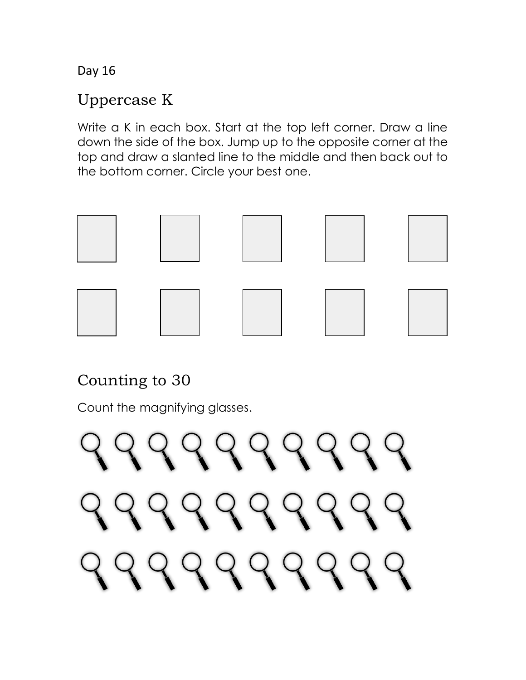#### Uppercase K

Write a K in each box. Start at the top left corner. Draw a line down the side of the box. Jump up to the opposite corner at the top and draw a slanted line to the middle and then back out to the bottom corner. Circle your best one.



## Counting to 30

Count the magnifying glasses.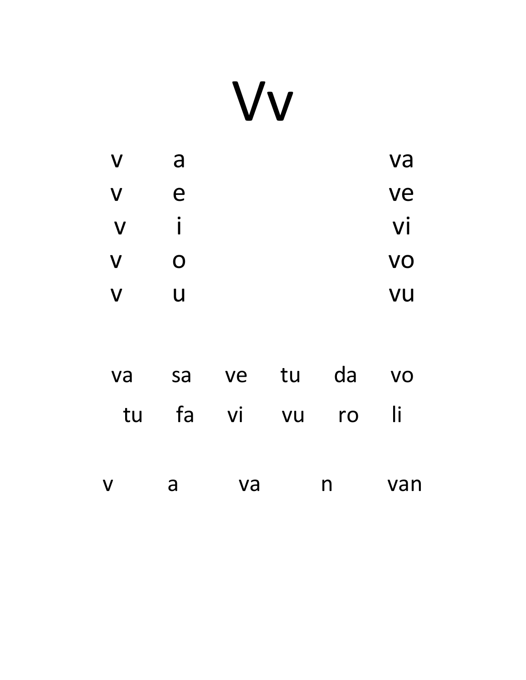## Vv

| $\boldsymbol{V}$ | a | va        |
|------------------|---|-----------|
| $\boldsymbol{V}$ | e | ve        |
| $\mathbf V$      |   | Vİ        |
| $\boldsymbol{V}$ | O | VO        |
| $\mathsf{V}$     | U | <b>VU</b> |

|             |              | va sa ve tu da vo |   |     |
|-------------|--------------|-------------------|---|-----|
|             |              | tu fa vi vu ro li |   |     |
|             |              |                   |   |     |
| $\mathbf V$ | $\mathsf{a}$ | <b>va</b>         | n | van |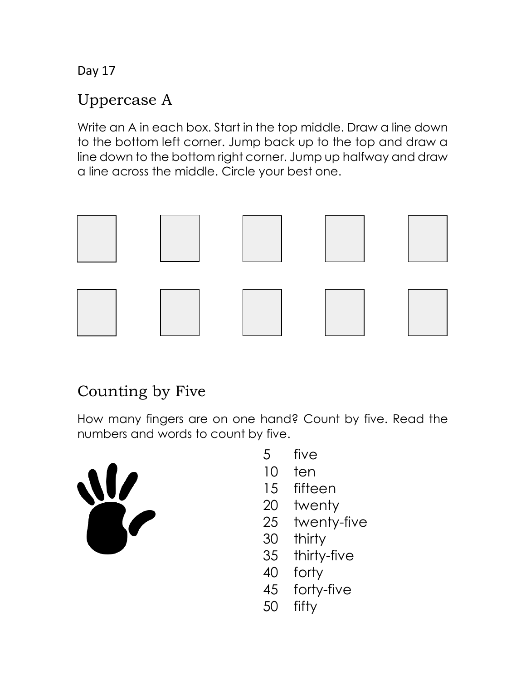## Uppercase A

Write an A in each box. Start in the top middle. Draw a line down to the bottom left corner. Jump back up to the top and draw a line down to the bottom right corner. Jump up halfway and draw a line across the middle. Circle your best one.



## Counting by Five

How many fingers are on one hand? Count by five. Read the numbers and words to count by five.



- 5 five
- 10 ten
- 15 fifteen
- 20 twenty
- 25 twenty-five
- 30 thirty
- 35 thirty-five
- 40 forty
- 45 forty-five
- 50 fifty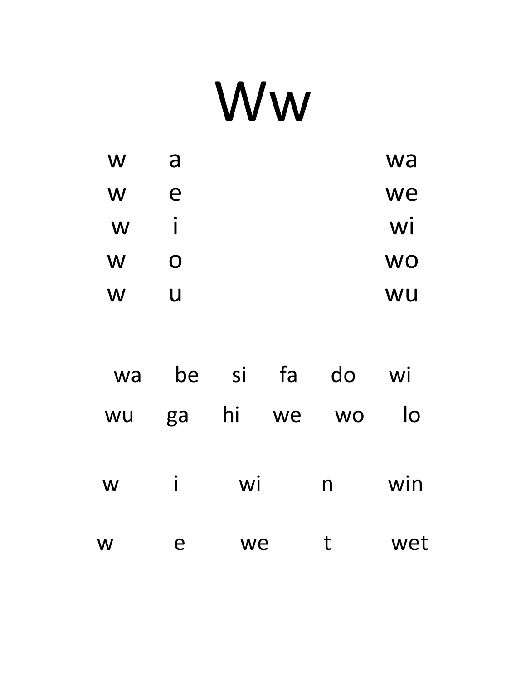# Ww

| W | a | wa        |
|---|---|-----------|
| W | e | we        |
| W | I | WI        |
| W | O | <b>WO</b> |
| W | U | WU        |

| wa | be | Sİ | fa | do        | Wİ  |
|----|----|----|----|-----------|-----|
| WU | ga | hi | we | <b>WO</b> | lo  |
| W  | Ť  | Wİ |    | n         | win |
| W  | e  | we |    | t         | wet |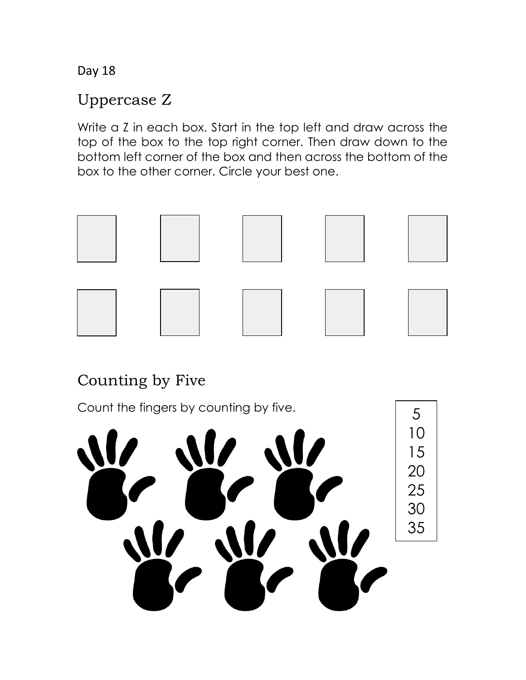#### Uppercase Z

Write a Z in each box. Start in the top left and draw across the top of the box to the top right corner. Then draw down to the bottom left corner of the box and then across the bottom of the box to the other corner. Circle your best one.



## Counting by Five

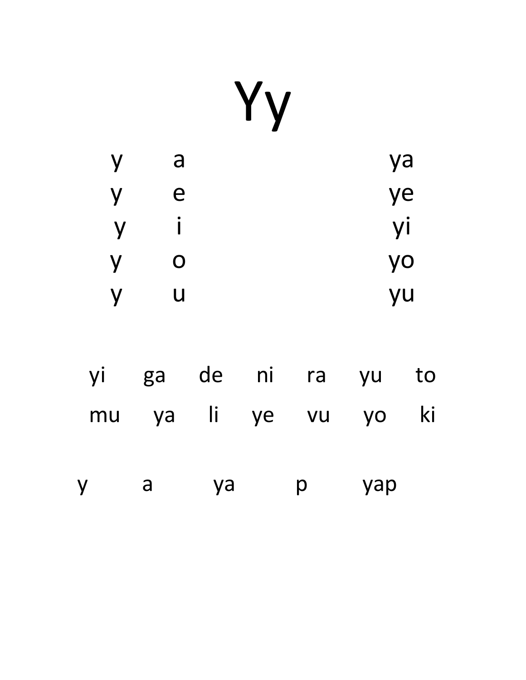|--|--|

| y | a | ya |
|---|---|----|
| y | е | ye |
| y | i | yi |
| y | O | yo |
| V | U | yu |

| <b>VI</b> |   |    | ga de ni ra yu |                | to        |
|-----------|---|----|----------------|----------------|-----------|
| mu        |   |    |                | ya li ye vu yo | <b>ki</b> |
|           | a | ya | $\mathsf{D}$   | yap            |           |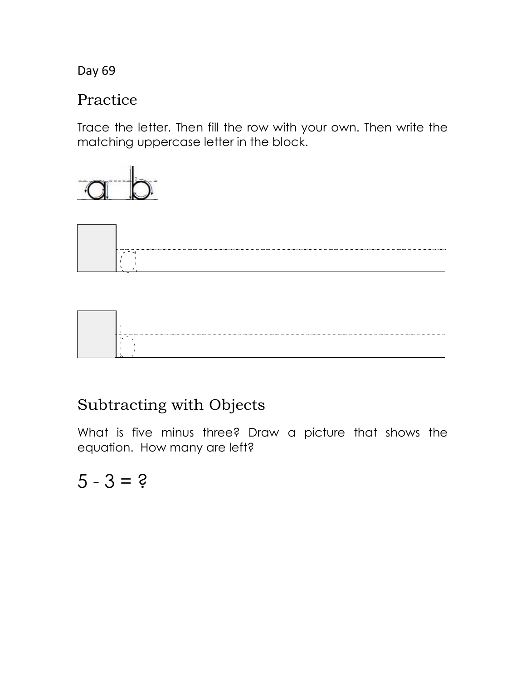#### Practice

Trace the letter. Then fill the row with your own. Then write the matching uppercase letter in the block.







## Subtracting with Objects

What is five minus three? Draw a picture that shows the equation. How many are left?

 $5 - 3 = ?$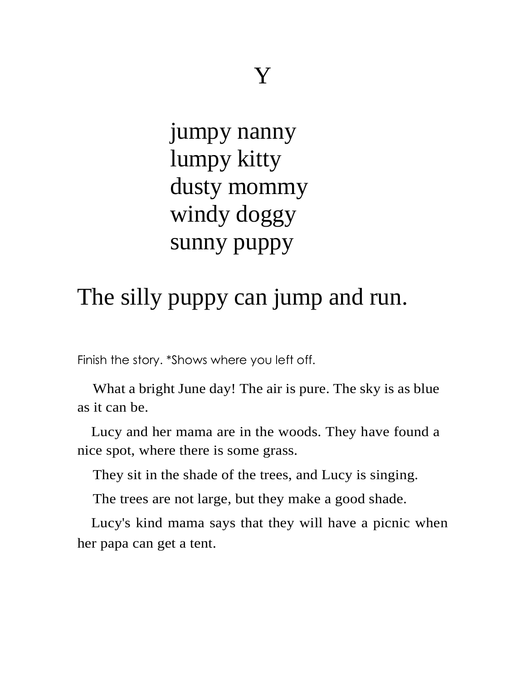jumpy nanny lumpy kitty dusty mommy windy doggy sunny puppy

## The silly puppy can jump and run.

Finish the story. \*Shows where you left off.

What a bright June day! The air is pure. The sky is as blue as it can be.

Lucy and her mama are in the woods. They have found a nice spot, where there is some grass.

They sit in the shade of the trees, and Lucy is singing.

The trees are not large, but they make a good shade.

Lucy's kind mama says that they will have a picnic when her papa can get a tent.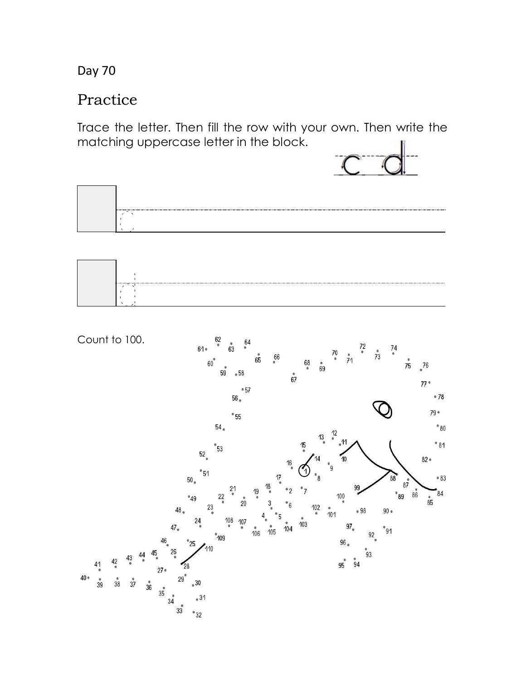#### Practice

Trace the letter. Then fill the row with your own. Then write the matching uppercase letter in the block.



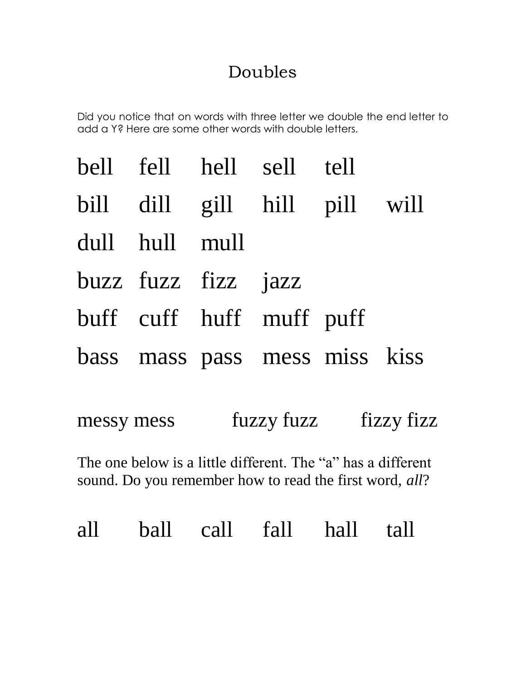## Doubles

Did you notice that on words with three letter we double the end letter to add a Y? Here are some other words with double letters.

|                     | bell fell hell sell tell      |  |
|---------------------|-------------------------------|--|
|                     | bill dill gill hill pill will |  |
| dull hull mull      |                               |  |
| buzz fuzz fizz jazz |                               |  |
|                     | buff cuff huff muff puff      |  |
|                     | bass mass pass mess miss kiss |  |
|                     |                               |  |

| messy mess | fuzzy fuzz | fizzy fizz |
|------------|------------|------------|
|------------|------------|------------|

The one below is a little different. The "a" has a different sound. Do you remember how to read the first word, *all*?

all ball call fall hall tall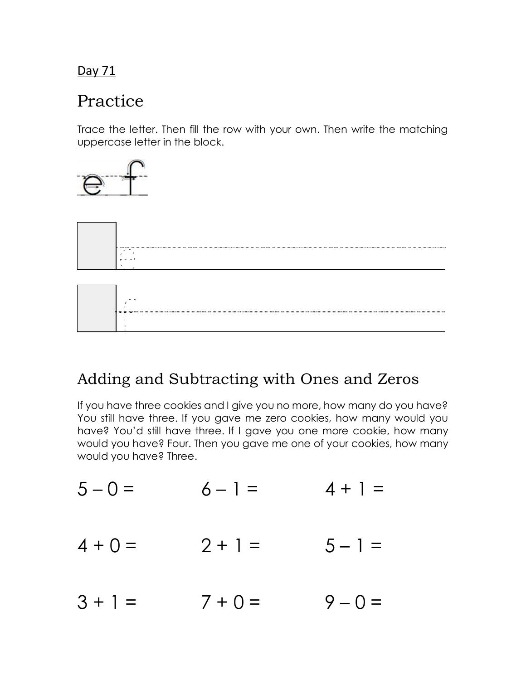## Practice

Trace the letter. Then fill the row with your own. Then write the matching uppercase letter in the block.







### Adding and Subtracting with Ones and Zeros

If you have three cookies and I give you no more, how many do you have? You still have three. If you gave me zero cookies, how many would you have? You'd still have three. If I gave you one more cookie, how many would you have? Four. Then you gave me one of your cookies, how many would you have? Three.

- $5 0 = 6 1 = 4 + 1 =$
- $4 + 0 = 2 + 1 = 5 1 =$
- $3 + 1 = 7 + 0 = 9 0 =$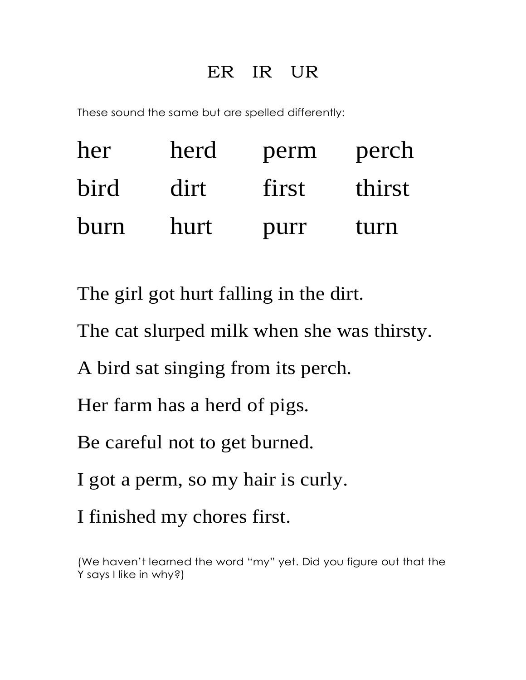## ER IR UR

These sound the same but are spelled differently:

| her         | herd | perm  | perch  |
|-------------|------|-------|--------|
| <b>bird</b> | dirt | first | thirst |
| burn        | hurt | purr  | turn   |

The girl got hurt falling in the dirt.

The cat slurped milk when she was thirsty.

A bird sat singing from its perch.

Her farm has a herd of pigs.

Be careful not to get burned.

I got a perm, so my hair is curly.

I finished my chores first.

(We haven't learned the word "my" yet. Did you figure out that the Y says I like in why?)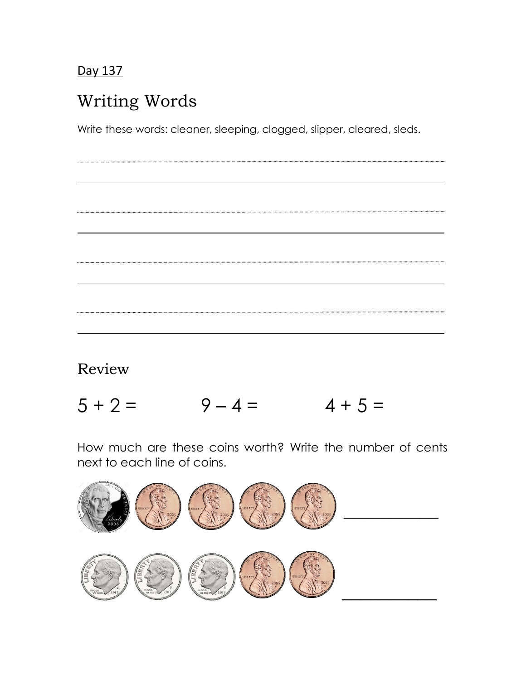—<br>—<br>—

## Writing Words

Write these words: cleaner, sleeping, clogged, slipper, cleared, sleds.

Review

 $5 + 2 = 9 - 4 = 4 + 5 =$ 

How much are these coins worth? Write the number of cents next to each line of coins.

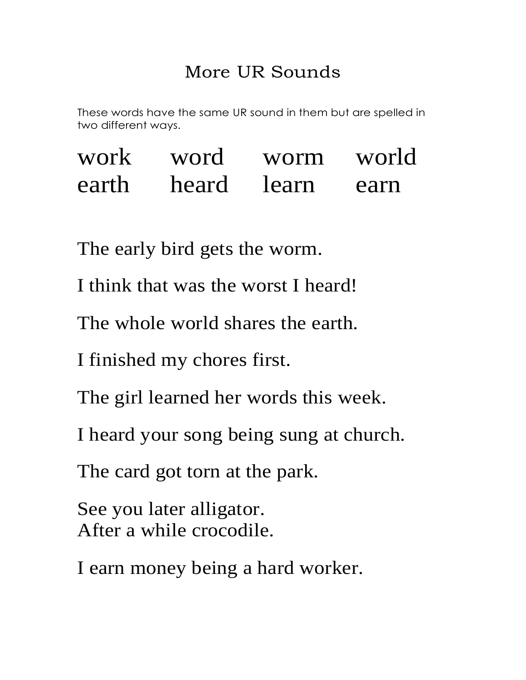## More UR Sounds

These words have the same UR sound in them but are spelled in two different ways.

| work  | word | worm        | world |
|-------|------|-------------|-------|
| earth |      | heard learn | earn  |

The early bird gets the worm.

I think that was the worst I heard!

The whole world shares the earth.

I finished my chores first.

The girl learned her words this week.

I heard your song being sung at church.

The card got torn at the park.

See you later alligator. After a while crocodile.

I earn money being a hard worker.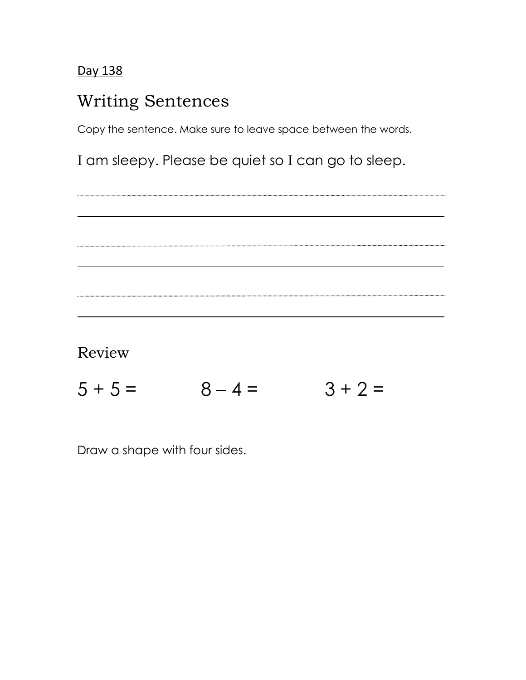### Writing Sentences

Copy the sentence. Make sure to leave space between the words.

I am sleepy. Please be quiet so I can go to sleep.

. . . . . . . . . . . . ...........

Review

 $5 + 5 = 8 - 4 = 3 + 2 =$ 

Draw a shape with four sides.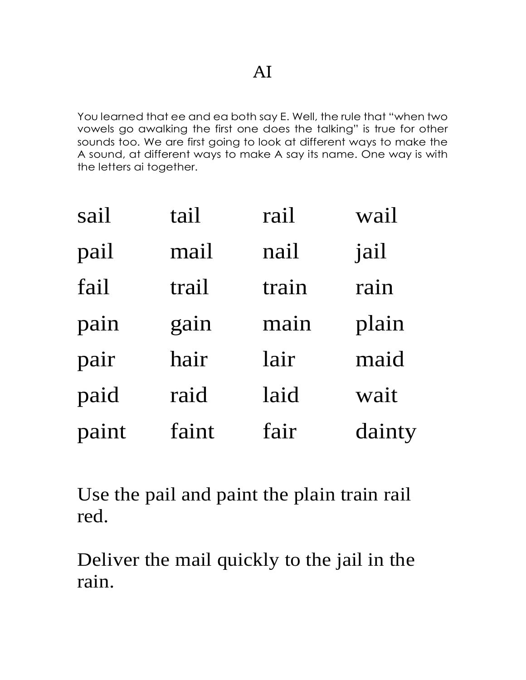You learned that ee and ea both say E. Well, the rule that "when two vowels go awalking the first one does the talking" is true for other sounds too. We are first going to look at different ways to make the A sound, at different ways to make A say its name. One way is with the letters ai together.

| sail  | tail  | rail  | wail   |
|-------|-------|-------|--------|
| pail  | mail  | nail  | jail   |
| fail  | trail | train | rain   |
| pain  | gain  | main  | plain  |
| pair  | hair  | lair  | maid   |
| paid  | raid  | laid  | wait   |
| paint | faint | fair  | dainty |

Use the pail and paint the plain train rail red.

Deliver the mail quickly to the jail in the rain.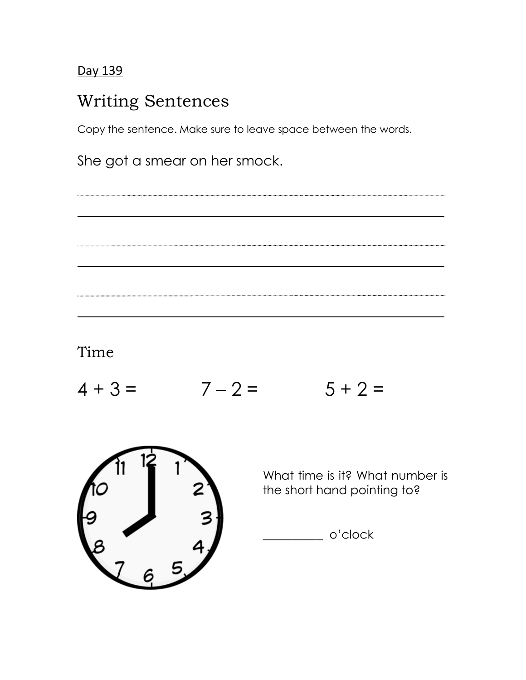## Writing Sentences

Copy the sentence. Make sure to leave space between the words.

She got a smear on her smock.

Time

—<br>—<br>—

 $4 + 3 = 7 - 2 = 5 + 2 =$ 



What time is it? What number is the short hand pointing to?

\_\_\_\_\_\_\_\_\_\_ o'clock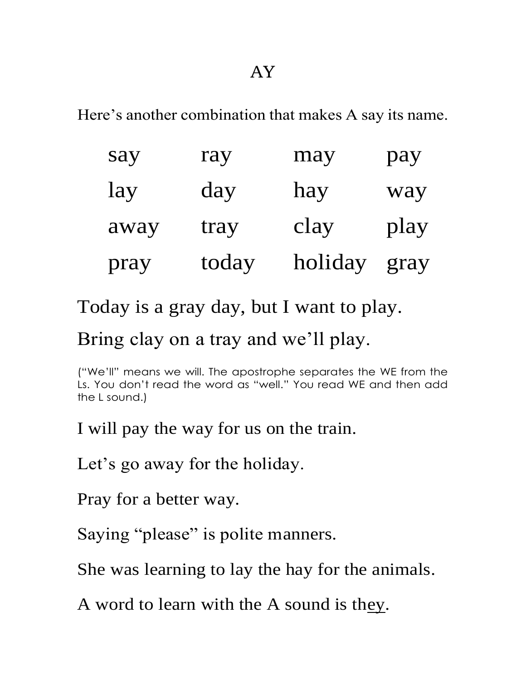Here's another combination that makes A say its name.

| say  | ray   | may     | pay  |
|------|-------|---------|------|
| lay  | day   | hay     | way  |
| away | tray  | clay    | play |
| pray | today | holiday | gray |

Today is a gray day, but I want to play.

## Bring clay on a tray and we'll play.

("We'll" means we will. The apostrophe separates the WE from the Ls. You don't read the word as "well." You read WE and then add the L sound.)

I will pay the way for us on the train.

Let's go away for the holiday.

Pray for a better way.

Saying "please" is polite manners.

She was learning to lay the hay for the animals.

A word to learn with the A sound is they.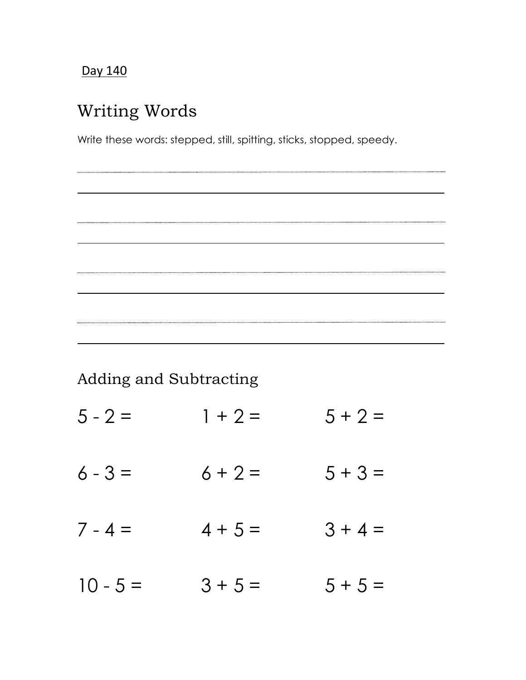—<br>—<br>—

## Writing Words

Write these words: stepped, still, spitting, sticks, stopped, speedy.

Adding and Subtracting

- $5 2 = 1 + 2 = 5 + 2 =$
- $6 3 = 6 + 2 = 5 + 3 =$
- $7 4 = 4 + 5 = 3 + 4 =$

 $10 - 5 = 3 + 5 = 5 + 5 =$